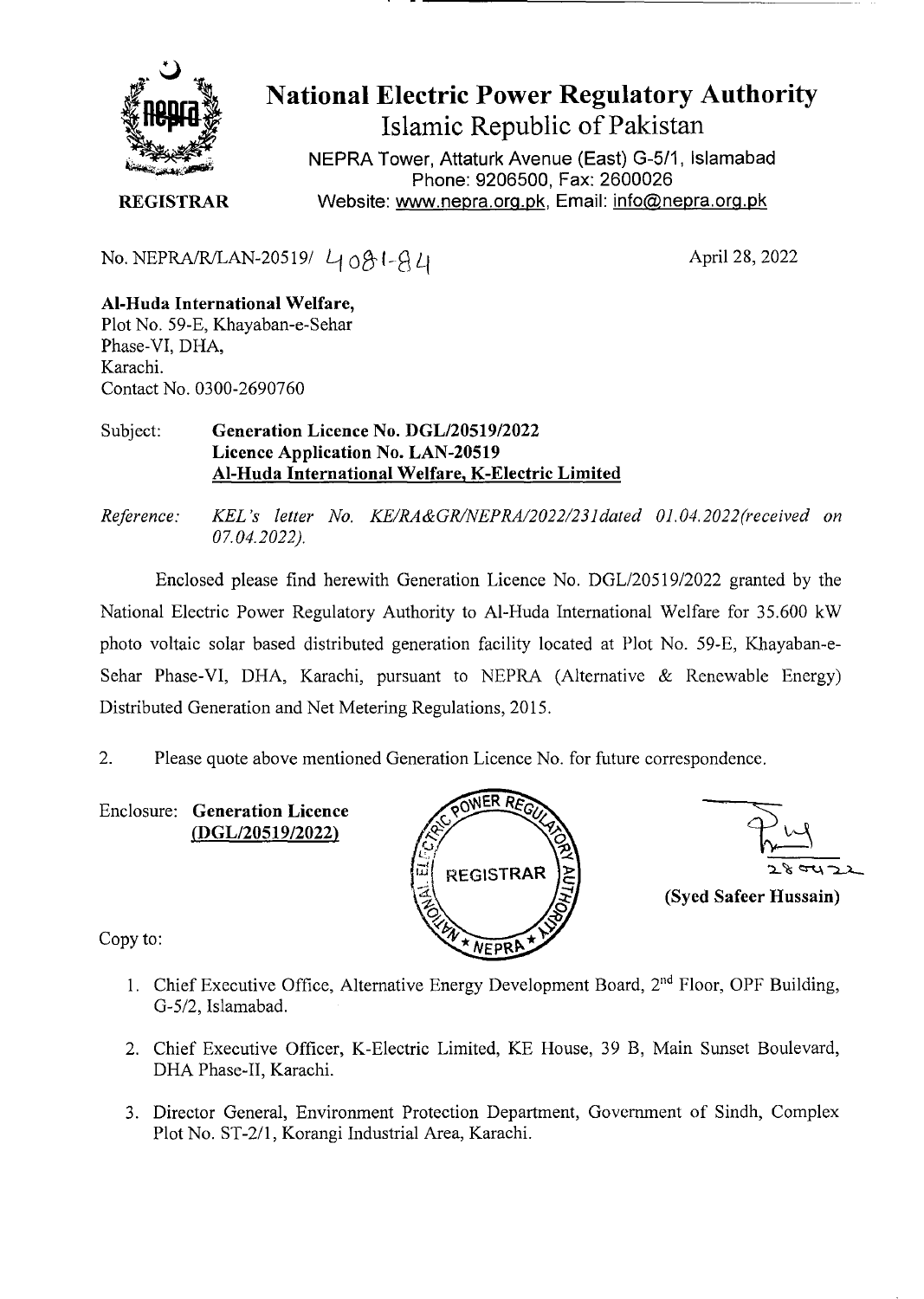

National Electric Power Regulatory Authority Islamic Republic of Pakistan

NEPRA Tower, Attaturk Avenue (East) G-511, Islamabad Phone: 9206500, Fax: 2600026 **REGISTRAR** Website: www.nepra.org.pk, Email: info@nepra.org.pk

No. NEPRA/R/LAN-20519/  $4081-A4$ 

April 28, 2022

## Al**-Huda International Welfare,**  Plot No. 59-E, Khayaban-e-Sehar Phase-VT, DHA, Karachi. Contact No. 03 00-2690760

## Subject: **Generation Licence No. DGL/20519/2022 Licence Application No. LAN-20519**  Al**-Huda International Welfare,** K**-Electric Limited**

*Reference: KEL's letter No. KE/RA&GR/NEPRAI2O22/23]daied 01.04.2022(received on 07.04.2022).* 

Enclosed please find herewith Generation Licence No. DGL/205 19/2022 granted by the National Electric Power Regulatory Authority to Al-Huda International Welfare for 35.600 kW photo voltaic solar based distributed generation facility located at Plot No. *59-E,* Khayaban-e-Sehar Phase-VI, DHA, Karachi, pursuant to NEPRA (Alternative  $\&$  Renewable Energy) Distributed Generation and Net Metering Regulations, 2015.

2. Please quote above mentioned Generation Licence No. for future correspondence.

Enclosure: **Generation Licence (DGL/20519/2022)** 





Copy to:

- 1. Chief Executive Office, Alternative Energy Development Board,  $2<sup>nd</sup>$  Floor, OPF Building, G-5/2, Islamabad.
- 2. Chief Executive Officer, K-Electric Limited, KE House, 39 B, Main Sunset Boulevard, DHA Phase-IT, Karachi.
- 3. Director General, Environment Protection Department, Government of Sindh, Complex Plot No. ST-2/1, Korangi Industrial Area, Karachi.